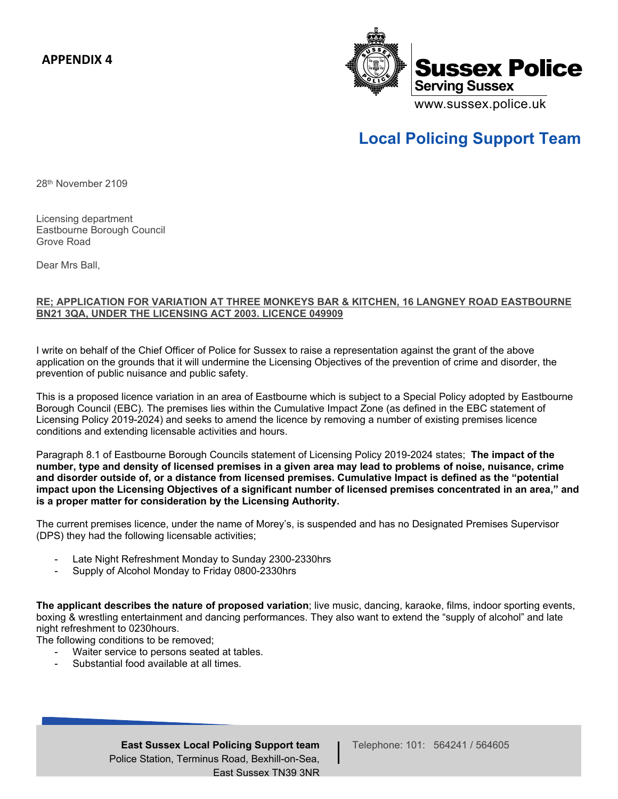**APPENDIX 4**



## **Local Policing Support Team**

28th November 2109

Licensing department Eastbourne Borough Council Grove Road

Dear Mrs Ball,

## **RE; APPLICATION FOR VARIATION AT THREE MONKEYS BAR & KITCHEN, 16 LANGNEY ROAD EASTBOURNE BN21 3QA, UNDER THE LICENSING ACT 2003. LICENCE 049909**

I write on behalf of the Chief Officer of Police for Sussex to raise a representation against the grant of the above application on the grounds that it will undermine the Licensing Objectives of the prevention of crime and disorder, the prevention of public nuisance and public safety.

This is a proposed licence variation in an area of Eastbourne which is subject to a Special Policy adopted by Eastbourne Borough Council (EBC). The premises lies within the Cumulative Impact Zone (as defined in the EBC statement of Licensing Policy 2019-2024) and seeks to amend the licence by removing a number of existing premises licence conditions and extending licensable activities and hours.

Paragraph 8.1 of Eastbourne Borough Councils statement of Licensing Policy 2019-2024 states; **The impact of the** number, type and density of licensed premises in a given area may lead to problems of noise, nuisance, crime and disorder outside of, or a distance from licensed premises. Cumulative Impact is defined as the "potential impact upon the Licensing Objectives of a significant number of licensed premises concentrated in an area," and **is a proper matter for consideration by the Licensing Authority.**

The current premises licence, under the name of Morey's, is suspended and has no Designated Premises Supervisor (DPS) they had the following licensable activities;

- Late Night Refreshment Monday to Sunday 2300-2330hrs
- Supply of Alcohol Monday to Friday 0800-2330hrs

**The applicant describes the nature of proposed variation**; live music, dancing, karaoke, films, indoor sporting events, boxing & wrestling entertainment and dancing performances. They also want to extend the "supply of alcohol" and late night refreshment to 0230hours.

The following conditions to be removed;

- Waiter service to persons seated at tables.
- Substantial food available at all times.

**East Sussex Local Policing Support team** Police Station, Terminus Road, Bexhill-on-Sea, East Sussex TN39 3NR

Telephone: 101: 564241 / 564605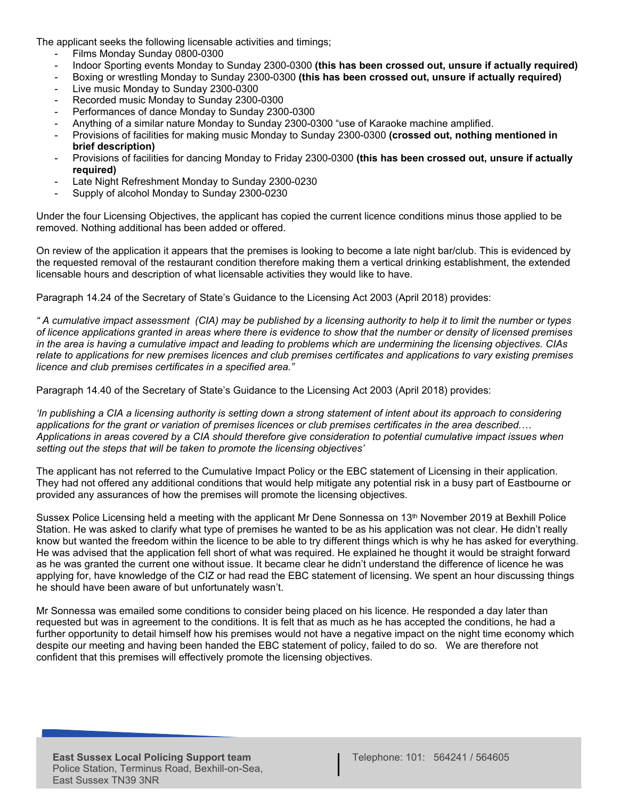The applicant seeks the following licensable activities and timings;

- Films Monday Sunday 0800-0300
- Indoor Sporting events Monday to Sunday 2300-0300 **(this has been crossed out, unsure if actually required)**
- Boxing or wrestling Monday to Sunday 2300-0300 **(this has been crossed out, unsure if actually required)**
- Live music Monday to Sunday 2300-0300
- Recorded music Monday to Sunday 2300-0300
- Performances of dance Monday to Sunday 2300-0300
- Anything of a similar nature Monday to Sunday 2300-0300 "use of Karaoke machine amplified.
- Provisions of facilities for making music Monday to Sunday 2300-0300 **(crossed out, nothing mentioned in brief description)**
- Provisions of facilities for dancing Monday to Friday 2300-0300 **(this has been crossed out, unsure if actually required)**
- Late Night Refreshment Monday to Sunday 2300-0230
- Supply of alcohol Monday to Sunday 2300-0230

Under the four Licensing Objectives, the applicant has copied the current licence conditions minus those applied to be removed. Nothing additional has been added or offered.

On review of the application it appears that the premises is looking to become a late night bar/club. This is evidenced by the requested removal of the restaurant condition therefore making them a vertical drinking establishment, the extended licensable hours and description of what licensable activities they would like to have.

Paragraph 14.24 of the Secretary of State's Guidance to the Licensing Act 2003 (April 2018) provides:

"A cumulative impact assessment (CIA) may be published by a licensing authority to help it to limit the number or types of licence applications granted in areas where there is evidence to show that the number or density of licensed premises in the area is having a cumulative impact and leading to problems which are undermining the licensing objectives. CIAs relate to applications for new premises licences and club premises certificates and applications to vary existing premises *licence and club premises certificates in a specified area."*

Paragraph 14.40 of the Secretary of State's Guidance to the Licensing Act 2003 (April 2018) provides:

'In publishing a CIA a licensing authority is setting down a strong statement of intent about its approach to considering applications for the grant or variation of premises licences or club premises certificates in the area described.... Applications in areas covered by a CIA should therefore give consideration to potential cumulative impact issues when *setting out the steps that will be taken to promote the licensing objectives'*

The applicant has not referred to the Cumulative Impact Policy or the EBC statement of Licensing in their application. They had not offered any additional conditions that would help mitigate any potential risk in a busy part of Eastbourne or provided any assurances of how the premises will promote the licensing objectives.

Sussex Police Licensing held a meeting with the applicant Mr Dene Sonnessa on 13th November 2019 at Bexhill Police Station. He was asked to clarify what type of premises he wanted to be as his application was not clear. He didn't really know but wanted the freedom within the licence to be able to try different things which is why he has asked for everything. He was advised that the application fell short of what was required. He explained he thought it would be straight forward as he was granted the current one without issue. It became clear he didn't understand the difference of licence he was applying for, have knowledge of the CIZ or had read the EBC statement of licensing. We spent an hour discussing things he should have been aware of but unfortunately wasn't.

Mr Sonnessa was emailed some conditions to consider being placed on his licence. He responded a day later than requested but was in agreement to the conditions. It is felt that as much as he has accepted the conditions, he had a further opportunity to detail himself how his premises would not have a negative impact on the night time economy which despite our meeting and having been handed the EBC statement of policy, failed to do so. We are therefore not confident that this premises will effectively promote the licensing objectives.